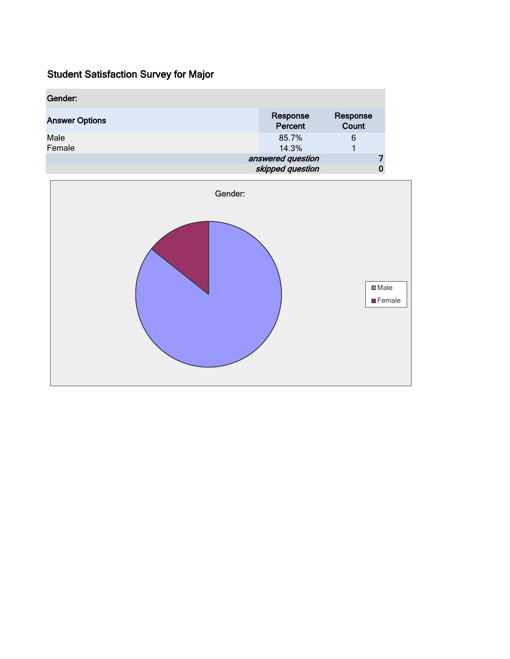| Gender:               |                                          |  |
|-----------------------|------------------------------------------|--|
| <b>Answer Options</b> | Response<br>Response<br>Count<br>Percent |  |
| Male<br>Female        | 85.7%<br>6<br>14.3%                      |  |
|                       | answered question<br>skipped question    |  |

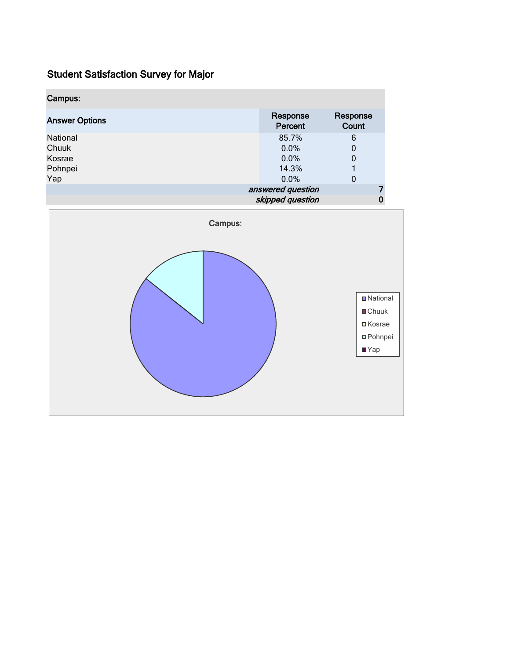| Campus:               |                     |                   |  |
|-----------------------|---------------------|-------------------|--|
| <b>Answer Options</b> | Response<br>Percent | Response<br>Count |  |
| National              | 85.7%               | 6                 |  |
| Chuuk                 | 0.0%                | 0                 |  |
| Kosrae                | 0.0%                | 0                 |  |
| Pohnpei               | 14.3%               |                   |  |
| Yap                   | 0.0%                | 0                 |  |
|                       | answered question   |                   |  |
|                       | skipped question    |                   |  |

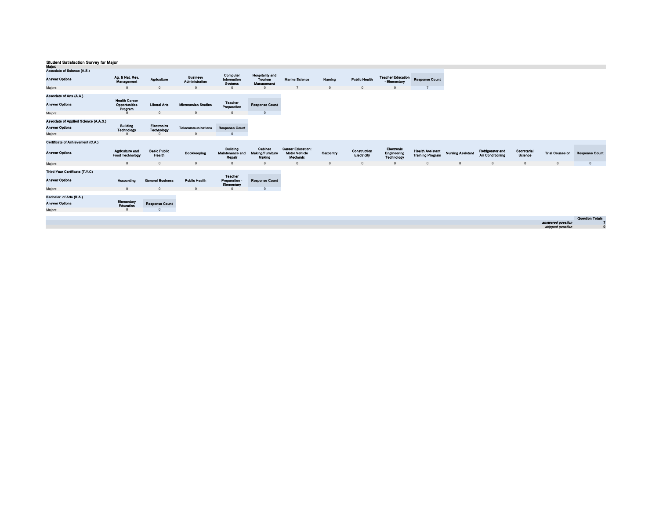| major.<br>Associate of Science (A.S.) |                                                  |                                  |                                   |                                                     |                                                 |                                                              |           |                             |                                          |                                                    |                          |                                      |                        |                                       |                        |
|---------------------------------------|--------------------------------------------------|----------------------------------|-----------------------------------|-----------------------------------------------------|-------------------------------------------------|--------------------------------------------------------------|-----------|-----------------------------|------------------------------------------|----------------------------------------------------|--------------------------|--------------------------------------|------------------------|---------------------------------------|------------------------|
| <b>Answer Options</b>                 | Ag. & Nat. Res.<br>Management                    | Agriculture                      | <b>Business</b><br>Administration | Computer<br>Information<br><b>Systems</b>           | <b>Hospitality and</b><br>Tourism<br>Management | <b>Marine Science</b>                                        | Nursing   | <b>Public Health</b>        | <b>Teacher Education</b><br>- Elementary | <b>Response Count</b>                              |                          |                                      |                        |                                       |                        |
| Majors:                               | $\mathbf{0}$                                     |                                  | $\Omega$                          |                                                     |                                                 | -                                                            |           | $\Omega$                    | $\Omega$                                 | $\mathbf{z}$                                       |                          |                                      |                        |                                       |                        |
| Associate of Arts (A.A.)              |                                                  |                                  |                                   |                                                     |                                                 |                                                              |           |                             |                                          |                                                    |                          |                                      |                        |                                       |                        |
| <b>Answer Options</b>                 | <b>Health Career</b><br>Opportunities<br>Program | <b>Liberal Arts</b>              | <b>Micronesian Studies</b>        | <b>Teacher</b><br>Preparation                       | <b>Response Count</b>                           |                                                              |           |                             |                                          |                                                    |                          |                                      |                        |                                       |                        |
| Majors:                               | $\Omega$                                         | $\Omega$                         | $\Omega$                          |                                                     | $\Omega$                                        |                                                              |           |                             |                                          |                                                    |                          |                                      |                        |                                       |                        |
| Associate of Applied Science (A.A.S.) |                                                  |                                  |                                   |                                                     |                                                 |                                                              |           |                             |                                          |                                                    |                          |                                      |                        |                                       |                        |
| <b>Answer Options</b>                 | <b>Building</b><br>Technology                    | Electronics<br><b>Technology</b> | Telecommunications                | <b>Response Count</b>                               |                                                 |                                                              |           |                             |                                          |                                                    |                          |                                      |                        |                                       |                        |
| Majors:                               | $\sqrt{2}$                                       | $\Omega$                         | $\sqrt{2}$                        |                                                     |                                                 |                                                              |           |                             |                                          |                                                    |                          |                                      |                        |                                       |                        |
| Certificate of Achievement (C.A.)     |                                                  |                                  |                                   |                                                     |                                                 |                                                              |           |                             |                                          |                                                    |                          |                                      |                        |                                       |                        |
| <b>Answer Options</b>                 | Agriculture and<br><b>Food Technology</b>        | <b>Basic Public</b><br>Health    | Bookkeeping                       | <b>Building</b><br><b>Maintenance and</b><br>Repair | Cabinet<br>Making/Furniture<br>Making           | <b>Career Education:</b><br><b>Motor Vehicle</b><br>Mechanic | Carpentry | Construction<br>Electricity | Electronic<br>Engineering<br>Technology  | <b>Health Assistant</b><br><b>Training Program</b> | <b>Nursing Assistant</b> | Refrigerator and<br>Air Conditioning | Secretarial<br>Science | <b>Trial Counselor</b>                | <b>Response Count</b>  |
| Majors:                               | $\overline{0}$                                   | $\mathbf{0}$                     | $\overline{0}$                    | $\Omega$                                            | $\Omega$                                        | $\mathbf{0}$                                                 | $\Omega$  | $\overline{0}$              | $\overline{0}$                           | $\Omega$                                           | $\Omega$                 | $\mathbf{0}$                         | $\mathbf 0$            | $\mathbf{0}$                          | $\mathbf{0}$           |
| Third-Year Certificate (T.Y.C)        |                                                  |                                  |                                   | Teacher                                             |                                                 |                                                              |           |                             |                                          |                                                    |                          |                                      |                        |                                       |                        |
| <b>Answer Options</b>                 | Accounting                                       | <b>General Business</b>          | <b>Public Health</b>              | Preparation -<br>Elementary                         | <b>Response Count</b>                           |                                                              |           |                             |                                          |                                                    |                          |                                      |                        |                                       |                        |
| Majors:                               | $\overline{0}$                                   | $\Omega$                         | $\overline{0}$                    | $\Omega$                                            | $\overline{0}$                                  |                                                              |           |                             |                                          |                                                    |                          |                                      |                        |                                       |                        |
| Bachelor of Arts (B.A.)               |                                                  |                                  |                                   |                                                     |                                                 |                                                              |           |                             |                                          |                                                    |                          |                                      |                        |                                       |                        |
| <b>Answer Options</b>                 | Elementary<br>Education                          | <b>Response Count</b>            |                                   |                                                     |                                                 |                                                              |           |                             |                                          |                                                    |                          |                                      |                        |                                       |                        |
| Majors:                               | $\Omega$                                         |                                  |                                   |                                                     |                                                 |                                                              |           |                             |                                          |                                                    |                          |                                      |                        |                                       |                        |
|                                       |                                                  |                                  |                                   |                                                     |                                                 |                                                              |           |                             |                                          |                                                    |                          |                                      |                        |                                       | <b>Question Totals</b> |
|                                       |                                                  |                                  |                                   |                                                     |                                                 |                                                              |           |                             |                                          |                                                    |                          |                                      |                        | answered question<br>skipped question | $\mathbf{0}$           |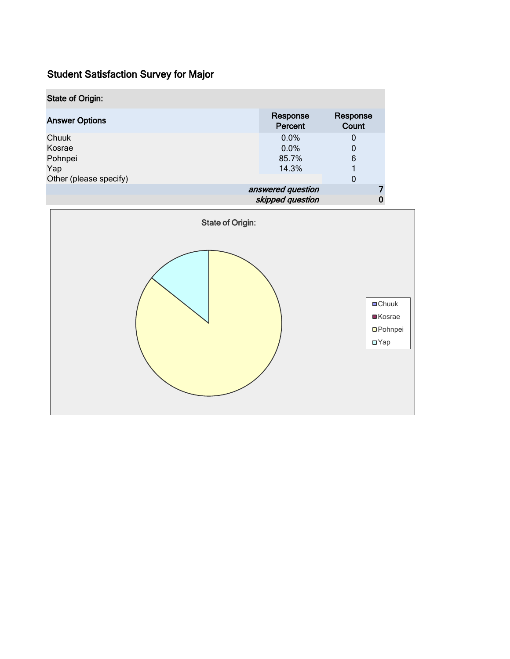| <b>State of Origin:</b> |                     |                   |  |
|-------------------------|---------------------|-------------------|--|
| <b>Answer Options</b>   | Response<br>Percent | Response<br>Count |  |
| Chuuk                   | $0.0\%$             | 0                 |  |
| Kosrae                  | 0.0%                |                   |  |
| Pohnpei                 | 85.7%               | 6                 |  |
| Yap                     | 14.3%               |                   |  |
| Other (please specify)  |                     | 0                 |  |
|                         | answered question   |                   |  |
|                         | skipped question    |                   |  |